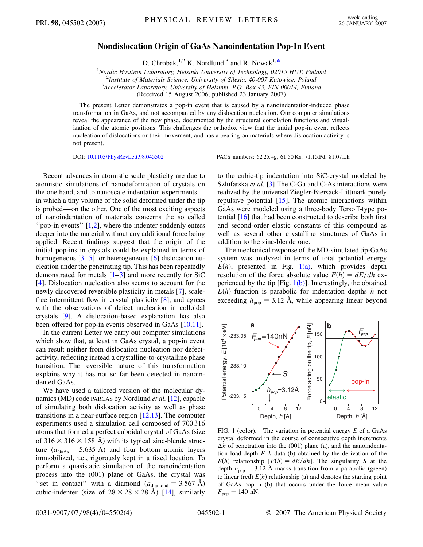## **Nondislocation Origin of GaAs Nanoindentation Pop-In Event**

D. Chrobak, <sup>1,2</sup> K. Nordlund,<sup>3</sup> and R. Nowak<sup>1[,\\*](#page-3-0)</sup>

<sup>1</sup> *Nordic Hysitron Laboratory, Helsinki University of Technology, 02015 HUT, Finland*<sup>2</sup><br><sup>2</sup> Institute of Materials Science, University of Silesia, 40,007 Katowice, Poland

*Institute of Materials Science, University of Silesia, 40-007 Katowice, Poland* <sup>3</sup>

*Accelerator Laboratory, University of Helsinki, P.O. Box 43, FIN-00014, Finland*

(Received 15 August 2006; published 23 January 2007)

<span id="page-0-1"></span>The present Letter demonstrates a pop-in event that is caused by a nanoindentation-induced phase transformation in GaAs, and not accompanied by any dislocation nucleation. Our computer simulations reveal the appearance of the new phase, documented by the structural correlation functions and visualization of the atomic positions. This challenges the orthodox view that the initial pop-in event reflects nucleation of dislocations or their movement, and has a bearing on materials where dislocation activity is not present.

DOI: [10.1103/PhysRevLett.98.045502](http://dx.doi.org/10.1103/PhysRevLett.98.045502) PACS numbers: 62.25.+g, 61.50.Ks, 71.15.Pd, 81.07.Lk

Recent advances in atomistic scale plasticity are due to atomistic simulations of nanodeformation of crystals on the one hand, and to nanoscale indentation experiments in which a tiny volume of the solid deformed under the tip is probed—on the other. One of the most exciting aspects of nanoindentation of materials concerns the so called "pop-in events" [[1](#page-3-1)[,2\]](#page-3-2), where the indenter suddenly enters deeper into the material without any additional force being applied. Recent findings suggest that the origin of the initial pop-ins in crystals could be explained in terms of homogeneous  $[3-5]$  $[3-5]$  $[3-5]$  $[3-5]$ , or heterogeneous  $[6]$  $[6]$  dislocation nucleation under the penetrating tip. This has been repeatedly demonstrated for metals  $[1-3]$  $[1-3]$  $[1-3]$  and more recently for SiC [\[4\]](#page-3-6). Dislocation nucleation also seems to account for the newly discovered reversible plasticity in metals [\[7\]](#page-3-7), scalefree intermittent flow in crystal plasticity [\[8\]](#page-3-8), and agrees with the observations of defect nucleation in colloidal crystals [[9\]](#page-3-9). A dislocation-based explanation has also been offered for pop-in events observed in GaAs [\[10,](#page-3-10)[11\]](#page-3-11).

In the current Letter we carry out computer simulations which show that, at least in GaAs crystal, a pop-in event can result neither from dislocation nucleation nor defectactivity, reflecting instead a crystalline-to-crystalline phase transition. The reversible nature of this transformation explains why it has not so far been detected in nanoindented GaAs.

We have used a tailored version of the molecular dynamics (MD) code PARCAS by Nordlund *et al.* [\[12\]](#page-3-12), capable of simulating both dislocation activity as well as phase transitions in a near-surface region [\[12](#page-3-12)[,13\]](#page-3-13). The computer experiments used a simulation cell composed of 700 316 atoms that formed a perfect cuboidal crystal of GaAs (size of  $316 \times 316 \times 158$  Å) with its typical zinc-blende structure  $(a_{\text{GaAs}} = 5.635 \text{ Å})$  and four bottom atomic layers immobilized, i.e., rigorously kept in a fixed location. To perform a quasistatic simulation of the nanoindentation process into the (001) plane of GaAs, the crystal was "set in contact" with a diamond  $(a_{\text{diamond}} = 3.567 \text{ Å})$ cubic-indenter (size of  $28 \times 28 \times 28$  Å) [[14](#page-3-14)], similarly

to the cubic-tip indentation into SiC-crystal modeled by Szlufarska *et al.* [\[3\]](#page-3-3) The C-Ga and C-As interactions were realized by the universal Ziegler-Biersack-Littmark purely repulsive potential [\[15\]](#page-3-15). The atomic interactions within GaAs were modeled using a three-body Tersoff-type potential [\[16\]](#page-3-16) that had been constructed to describe both first and second-order elastic constants of this compound as well as several other crystalline structures of GaAs in addition to the zinc-blende one.

The mechanical response of the MD-simulated tip-GaAs system was analyzed in terms of total potential energy  $E(h)$ , presented in Fig.  $1(a)$ , which provides depth resolution of the force absolute value  $F(h) = dE/dh$  experienced by the tip [Fig.  $1(b)$ ]. Interestingly, the obtained  $E(h)$  function is parabolic for indentation depths *h* not exceeding  $h_{\text{pop}} = 3.12 \text{ Å}$ , while appearing linear beyond



<span id="page-0-0"></span>FIG. 1 (color). The variation in potential energy *E* of a GaAs crystal deformed in the course of consecutive depth increments  $\Delta h$  of penetration into the (001) plane (a), and the nanoindentation load-depth *F*–*h* data (b) obtained by the derivation of the  $E(h)$  relationship  $[F(h) = dE/dh]$ . The singularity *S* at the depth  $h_{\text{pop}} = 3.12 \text{ Å}$  marks transition from a parabolic (green) to linear (red)  $E(h)$  relationship (a) and denotes the starting point of GaAs pop-in (b) that occurs under the force mean value  $F_{\text{pop}} = 140 \text{ nN}.$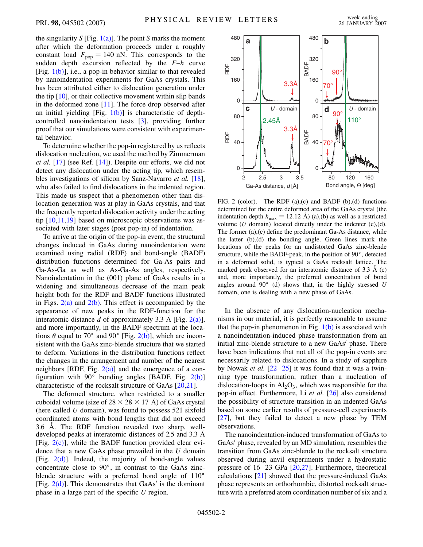the singularity *S* [Fig. [1\(a\)](#page-0-0)]. The point *S* marks the moment after which the deformation proceeds under a roughly constant load  $F_{\text{pop}} = 140 \text{ nN}$ . This corresponds to the sudden depth excursion reflected by the *F*–*h* curve [Fig.  $1(b)$ ], i.e., a pop-in behavior similar to that revealed by nanoindentation experiments for GaAs crystals. This has been attributed either to dislocation generation under the tip [\[10\]](#page-3-10), or their collective movement within slip bands in the deformed zone [[11](#page-3-11)]. The force drop observed after an initial yielding  $[Fig, 1(b)]$  $[Fig, 1(b)]$  is characteristic of depthcontrolled nanoindentation tests [[3\]](#page-3-3), providing further proof that our simulations were consistent with experimental behavior.

To determine whether the pop-in registered by us reflects dislocation nucleation, we used the method by Zimmerman *et al.* [\[17\]](#page-3-17) (see Ref. [\[14\]](#page-3-14)). Despite our efforts, we did not detect any dislocation under the acting tip, which resembles investigations of silicon by Sanz-Navarro *et al.* [\[18\]](#page-3-18), who also failed to find dislocations in the indented region. This made us suspect that a phenomenon other than dislocation generation was at play in GaAs crystals, and that the frequently reported dislocation activity under the acting tip [[10](#page-3-10)[,11](#page-3-11)[,19\]](#page-3-19) based on microscopic observations was associated with later stages (post pop-in) of indentation.

To arrive at the origin of the pop-in event, the structural changes induced in GaAs during nanoindentation were examined using radial (RDF) and bond-angle (BADF) distribution functions determined for Ga-As pairs and Ga-As-Ga as well as As-Ga-As angles, respectively. Nanoindentation in the (001) plane of GaAs results in a widening and simultaneous decrease of the main peak height both for the RDF and BADF functions illustrated in Figs.  $2(a)$  and  $2(b)$ . This effect is accompanied by the appearance of new peaks in the RDF-function for the interatomic distance *d* of approximately 3.3 Å [Fig. [2\(a\)\]](#page-1-0), and more importantly, in the BADF spectrum at the locations  $\theta$  equal to 70° and 90° [Fig. [2\(b\)\]](#page-1-0), which are inconsistent with the GaAs zinc-blende structure that we started to deform. Variations in the distribution functions reflect the changes in the arrangement and number of the nearest neighbors [RDF, Fig.  $2(a)$ ] and the emergence of a configuration with  $90^\circ$  bonding angles [BADF, Fig. [2\(b\)\]](#page-1-0) characteristic of the rocksalt structure of GaAs [[20](#page-3-20),[21](#page-3-21)].

The deformed structure, when restricted to a smaller cuboidal volume (size of  $28 \times 28 \times 17$  Å) of GaAs crystal (here called *U* domain), was found to possess 521 sixfold coordinated atoms with bond lengths that did not exceed 3.6  $\AA$ . The RDF function revealed two sharp, welldeveloped peaks at interatomic distances of 2.5 and 3.3  $\AA$ [Fig.  $2(c)$ ], while the BADF function provided clear evidence that a new GaAs phase prevailed in the *U* domain [Fig.  $2(d)$ ]. Indeed, the majority of bond-angle values concentrate close to  $90^\circ$ , in contrast to the GaAs zincblende structure with a preferred bond angle of 110<sup>°</sup> [Fig.  $2(d)$ ]. This demonstrates that GaAs' is the dominant phase in a large part of the specific *U* region.

<span id="page-1-1"></span>

<span id="page-1-0"></span>FIG. 2 (color). The RDF (a),(c) and BADF (b),(d) functions determined for the entire deformed area of the GaAs crystal (the indentation depth  $h_{\text{max}} = 12.12 \text{ Å}$  (a),(b) as well as a restricted volume (*U* domain) located directly under the indenter (c),(d). The former (a),(c) define the predominant Ga-As distance, while the latter (b),(d) the bonding angle. Green lines mark the locations of the peaks for an undistorted GaAs zinc-blende structure, while the BADF-peak, in the position of 90°, detected in a deformed solid, is typical a GaAs rocksalt lattice. The marked peak observed for an interatomic distance of  $3.3 \text{ Å}$  (c) and, more importantly, the preferred concentration of bond angles around 90° (d) shows that, in the highly stressed *U* domain, one is dealing with a new phase of GaAs.

In the absence of any dislocation-nucleation mechanisms in our material, it is perfectly reasonable to assume that the pop-in phenomenon in Fig.  $1(b)$  is associated with a nanoindentation-induced phase transformation from an initial zinc-blende structure to a new GaAs' phase. There have been indications that not all of the pop-in events are necessarily related to dislocations. In a study of sapphire by Nowak *et al.* [[22](#page-3-22)[–25\]](#page-3-23) it was found that it was a twinning type transformation, rather than a nucleation of dislocation-loops in  $\text{Al}_2\text{O}_3$ , which was responsible for the pop-in effect. Furthermore, Li *et al.* [[26](#page-3-24)] also considered the possibility of structure transition in an indented GaAs based on some earlier results of pressure-cell experiments [\[27\]](#page-3-25), but they failed to detect a new phase by TEM observations.

The nanoindentation-induced transformation of GaAs to GaAs' phase, revealed by an MD simulation, resembles the transition from GaAs zinc-blende to the rocksalt structure observed during anvil experiments under a hydrostatic pressure of 16–23 GPa [\[20](#page-3-20)[,27\]](#page-3-25). Furthermore, theoretical calculations [\[21\]](#page-3-21) showed that the pressure-induced GaAs phase represents an orthorhombic, distorted rocksalt structure with a preferred atom coordination number of six and a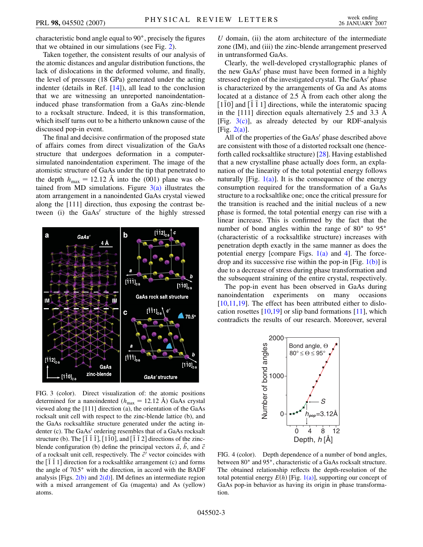characteristic bond angle equal to  $90^\circ$ , precisely the figures that we obtained in our simulations (see Fig. [2](#page-1-1)).

Taken together, the consistent results of our analysis of the atomic distances and angular distribution functions, the lack of dislocations in the deformed volume, and finally, the level of pressure (18 GPa) generated under the acting indenter (details in Ref. [[14](#page-3-14)]), all lead to the conclusion that we are witnessing an unreported nanoindentationinduced phase transformation from a GaAs zinc-blende to a rocksalt structure. Indeed, it is this transformation, which itself turns out to be a hitherto unknown cause of the discussed pop-in event.

The final and decisive confirmation of the proposed state of affairs comes from direct visualization of the GaAs structure that undergoes deformation in a computersimulated nanoindentation experiment. The image of the atomistic structure of GaAs under the tip that penetrated to the depth  $h_{\text{max}} = 12.12 \text{ Å}$  into the (001) plane was obtained from MD simulations. Figure  $3(a)$  illustrates the atom arrangement in a nanoindented GaAs crystal viewed along the [111] direction, thus exposing the contrast between (i) the GaAs' structure of the highly stressed



<span id="page-2-0"></span>FIG. 3 (color). Direct visualization of: the atomic positions determined for a nanoindented  $(h_{\text{max}} = 12.12 \text{ Å})$  GaAs crystal viewed along the [111] direction (a), the orientation of the GaAs rocksalt unit cell with respect to the zinc-blende lattice (b), and the GaAs rocksaltlike structure generated under the acting indenter (c). The GaAs' ordering resembles that of a GaAs rocksalt structure (b). The  $\begin{bmatrix} \overline{1} & \overline{1} & \overline{1} \end{bmatrix}$ ,  $\begin{bmatrix} 1 & \overline{1} & 0 \end{bmatrix}$ , and  $\begin{bmatrix} \overline{1} & \overline{1} & 2 \end{bmatrix}$  directions of the zincblende configuration (b) define the principal vectors  $\vec{a}$ ,  $\vec{b}$ , and  $\vec{c}$ of a rocksalt unit cell, respectively. The  $\vec{c}$ <sup>'</sup> vector coincides with the  $\begin{bmatrix} 1 & 1 \\ 1 & 1 \end{bmatrix}$  direction for a rocksaltlike arrangement (c) and forms the angle of  $70.5^\circ$  with the direction, in accord with the BADF analysis [Figs.  $2(b)$  and  $2(d)$ ]. IM defines an intermediate region with a mixed arrangement of Ga (magenta) and As (yellow) atoms.

*U* domain, (ii) the atom architecture of the intermediate zone (IM), and (iii) the zinc-blende arrangement preserved in untransformed GaAs.

Clearly, the well-developed crystallographic planes of the new  $GaAs'$  phase must have been formed in a highly stressed region of the investigated crystal. The GaAs' phase is characterized by the arrangements of Ga and As atoms located at a distance of  $2.5 \text{ Å}$  from each other along the  $\left[1\overline{1}0\right]$  and  $\left[\overline{1}\overline{1}1\right]$  directions, while the interatomic spacing in the [111] direction equals alternatively 2.5 and 3.3  $\AA$ [Fig.  $3(c)$ ], as already detected by our RDF-analysis  $[Fig. 2(a)].$  $[Fig. 2(a)].$  $[Fig. 2(a)].$ 

All of the properties of the  $GaAs'$  phase described above are consistent with those of a distorted rocksalt one (henceforth called rocksaltlike structure) [[28](#page-3-26)]. Having established that a new crystalline phase actually does form, an explanation of the linearity of the total potential energy follows naturally [Fig.  $1(a)$ ]. It is the consequence of the energy consumption required for the transformation of a GaAs structure to a rocksaltlike one; once the critical pressure for the transition is reached and the initial nucleus of a new phase is formed, the total potential energy can rise with a linear increase. This is confirmed by the fact that the number of bond angles within the range of  $80^{\circ}$  to  $95^{\circ}$ (characteristic of a rocksaltlike structure) increases with penetration depth exactly in the same manner as does the potential energy [compare Figs.  $1(a)$  and [4\]](#page-2-1). The forcedrop and its successive rise within the pop-in [Fig.  $1(b)$ ] is due to a decrease of stress during phase transformation and the subsequent straining of the entire crystal, respectively.

The pop-in event has been observed in GaAs during nanoindentation experiments on many occasions [\[10](#page-3-10)[,11,](#page-3-11)[19](#page-3-19)]. The effect has been attributed either to dislocation rosettes  $[10,19]$  $[10,19]$  $[10,19]$  $[10,19]$  $[10,19]$  or slip band formations  $[11]$ , which contradicts the results of our research. Moreover, several

<span id="page-2-1"></span>

FIG. 4 (color). Depth dependence of a number of bond angles, between 80° and 95°, characteristic of a GaAs rocksalt structure. The obtained relationship reflects the depth-resolution of the total potential energy  $E(h)$  [Fig. [1\(a\)](#page-0-0)], supporting our concept of GaAs pop-in behavior as having its origin in phase transformation.